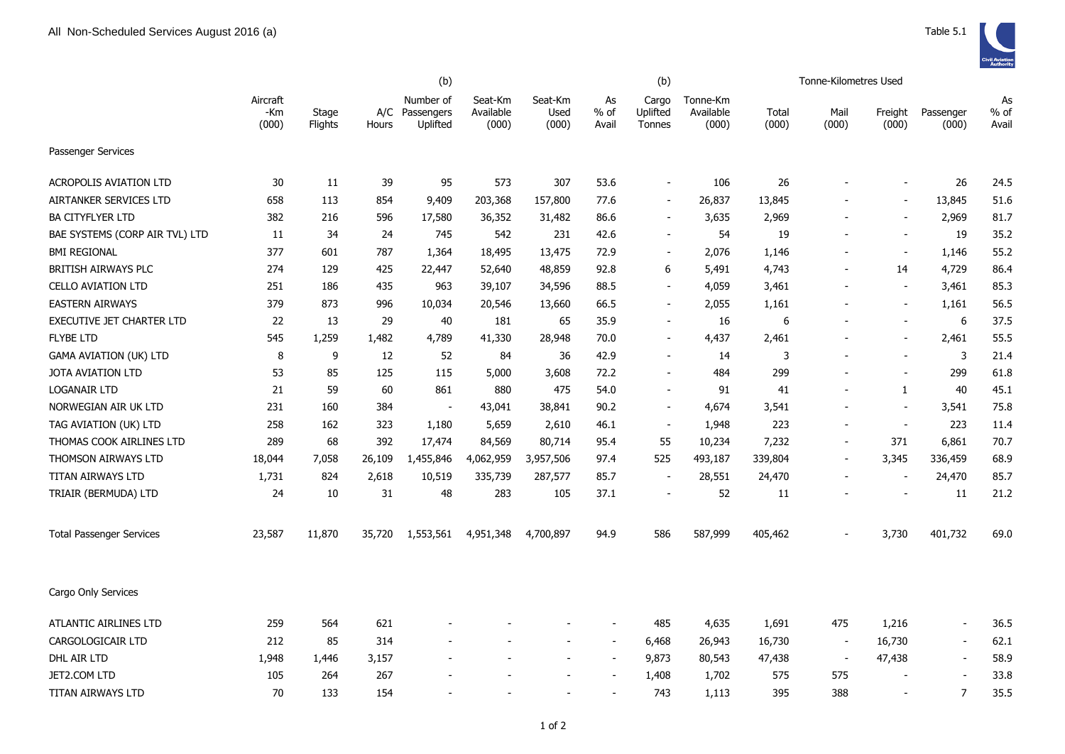|                                 |                          | (b)                     |              |                                     |                               | (b)                      |                          |                             | Tonne-Kilometres Used          |                |                          |                          |                          |                     |
|---------------------------------|--------------------------|-------------------------|--------------|-------------------------------------|-------------------------------|--------------------------|--------------------------|-----------------------------|--------------------------------|----------------|--------------------------|--------------------------|--------------------------|---------------------|
|                                 | Aircraft<br>-Km<br>(000) | Stage<br><b>Flights</b> | A/C<br>Hours | Number of<br>Passengers<br>Uplifted | Seat-Km<br>Available<br>(000) | Seat-Km<br>Used<br>(000) | As<br>$%$ of<br>Avail    | Cargo<br>Uplifted<br>Tonnes | Tonne-Km<br>Available<br>(000) | Total<br>(000) | Mail<br>(000)            | Freight<br>(000)         | Passenger<br>(000)       | As<br>% of<br>Avail |
| Passenger Services              |                          |                         |              |                                     |                               |                          |                          |                             |                                |                |                          |                          |                          |                     |
| <b>ACROPOLIS AVIATION LTD</b>   | 30                       | 11                      | 39           | 95                                  | 573                           | 307                      | 53.6                     | $\blacksquare$              | 106                            | 26             |                          | $\overline{\phantom{a}}$ | 26                       | 24.5                |
| AIRTANKER SERVICES LTD          | 658                      | 113                     | 854          | 9,409                               | 203,368                       | 157,800                  | 77.6                     | $\blacksquare$              | 26,837                         | 13,845         |                          | $\blacksquare$           | 13,845                   | 51.6                |
| <b>BA CITYFLYER LTD</b>         | 382                      | 216                     | 596          | 17,580                              | 36,352                        | 31,482                   | 86.6                     | $\blacksquare$              | 3,635                          | 2,969          | $\overline{\phantom{a}}$ | $\blacksquare$           | 2,969                    | 81.7                |
| BAE SYSTEMS (CORP AIR TVL) LTD  | 11                       | 34                      | 24           | 745                                 | 542                           | 231                      | 42.6                     | $\sim$                      | 54                             | 19             |                          | $\sim$                   | 19                       | 35.2                |
| <b>BMI REGIONAL</b>             | 377                      | 601                     | 787          | 1,364                               | 18,495                        | 13,475                   | 72.9                     | $\mathbf{r}$                | 2,076                          | 1,146          |                          | $\sim$                   | 1,146                    | 55.2                |
| <b>BRITISH AIRWAYS PLC</b>      | 274                      | 129                     | 425          | 22,447                              | 52,640                        | 48,859                   | 92.8                     | 6                           | 5,491                          | 4,743          |                          | 14                       | 4,729                    | 86.4                |
| <b>CELLO AVIATION LTD</b>       | 251                      | 186                     | 435          | 963                                 | 39,107                        | 34,596                   | 88.5                     | $\blacksquare$              | 4,059                          | 3,461          |                          | $\blacksquare$           | 3,461                    | 85.3                |
| <b>EASTERN AIRWAYS</b>          | 379                      | 873                     | 996          | 10,034                              | 20,546                        | 13,660                   | 66.5                     | $\overline{\phantom{a}}$    | 2,055                          | 1,161          |                          | $\overline{a}$           | 1,161                    | 56.5                |
| EXECUTIVE JET CHARTER LTD       | 22                       | 13                      | 29           | 40                                  | 181                           | 65                       | 35.9                     | $\overline{\phantom{a}}$    | 16                             | 6              |                          | $\overline{\phantom{a}}$ | 6                        | 37.5                |
| <b>FLYBE LTD</b>                | 545                      | 1,259                   | 1,482        | 4,789                               | 41,330                        | 28,948                   | 70.0                     | $\overline{\phantom{a}}$    | 4,437                          | 2,461          |                          | $\overline{a}$           | 2,461                    | 55.5                |
| <b>GAMA AVIATION (UK) LTD</b>   | 8                        | 9                       | 12           | 52                                  | 84                            | 36                       | 42.9                     | $\blacksquare$              | 14                             | 3              |                          | $\sim$                   | 3                        | 21.4                |
| JOTA AVIATION LTD               | 53                       | 85                      | 125          | 115                                 | 5,000                         | 3,608                    | 72.2                     | $\blacksquare$              | 484                            | 299            | $\overline{\phantom{a}}$ | $\blacksquare$           | 299                      | 61.8                |
| <b>LOGANAIR LTD</b>             | 21                       | 59                      | 60           | 861                                 | 880                           | 475                      | 54.0                     | $\blacksquare$              | 91                             | 41             | $\blacksquare$           | 1                        | 40                       | 45.1                |
| NORWEGIAN AIR UK LTD            | 231                      | 160                     | 384          | $\sim$                              | 43,041                        | 38,841                   | 90.2                     | $\blacksquare$              | 4,674                          | 3,541          | $\overline{\phantom{a}}$ | $\blacksquare$           | 3,541                    | 75.8                |
| TAG AVIATION (UK) LTD           | 258                      | 162                     | 323          | 1,180                               | 5,659                         | 2,610                    | 46.1                     | $\overline{\phantom{a}}$    | 1,948                          | 223            |                          | $\overline{\phantom{a}}$ | 223                      | 11.4                |
| THOMAS COOK AIRLINES LTD        | 289                      | 68                      | 392          | 17,474                              | 84,569                        | 80,714                   | 95.4                     | 55                          | 10,234                         | 7,232          | $\overline{a}$           | 371                      | 6,861                    | 70.7                |
| THOMSON AIRWAYS LTD             | 18,044                   | 7,058                   | 26,109       | 1,455,846                           | 4,062,959                     | 3,957,506                | 97.4                     | 525                         | 493,187                        | 339,804        | $\overline{\phantom{a}}$ | 3,345                    | 336,459                  | 68.9                |
| TITAN AIRWAYS LTD               | 1,731                    | 824                     | 2,618        | 10,519                              | 335,739                       | 287,577                  | 85.7                     | $\overline{\phantom{a}}$    | 28,551                         | 24,470         |                          | $\blacksquare$           | 24,470                   | 85.7                |
| TRIAIR (BERMUDA) LTD            | 24                       | 10                      | 31           | 48                                  | 283                           | 105                      | 37.1                     | $\overline{\phantom{a}}$    | 52                             | 11             |                          | $\overline{\phantom{a}}$ | 11                       | 21.2                |
| <b>Total Passenger Services</b> | 23,587                   | 11,870                  | 35,720       | 1,553,561                           | 4,951,348                     | 4,700,897                | 94.9                     | 586                         | 587,999                        | 405,462        |                          | 3,730                    | 401,732                  | 69.0                |
| Cargo Only Services             |                          |                         |              |                                     |                               |                          |                          |                             |                                |                |                          |                          |                          |                     |
| ATLANTIC AIRLINES LTD           | 259                      | 564                     | 621          |                                     |                               |                          |                          | 485                         | 4,635                          | 1,691          | 475                      | 1,216                    | $\overline{\phantom{a}}$ | 36.5                |
| CARGOLOGICAIR LTD               | 212                      | 85                      | 314          | $\blacksquare$                      |                               | $\blacksquare$           | $\sim$                   | 6,468                       | 26,943                         | 16,730         | $\blacksquare$           | 16,730                   | $\blacksquare$           | 62.1                |
| DHL AIR LTD                     | 1,948                    | 1,446                   | 3,157        | $\blacksquare$                      |                               | $\overline{\phantom{a}}$ | $\overline{\phantom{a}}$ | 9,873                       | 80,543                         | 47,438         | $\overline{\phantom{a}}$ | 47,438                   | $\overline{\phantom{a}}$ | 58.9                |
| JET2.COM LTD                    | 105                      | 264                     | 267          |                                     |                               |                          |                          | 1,408                       | 1,702                          | 575            | 575                      |                          |                          | 33.8                |
| TITAN AIRWAYS LTD               | 70                       | 133                     | 154          |                                     |                               |                          |                          | 743                         | 1,113                          | 395            | 388                      | $\overline{\phantom{a}}$ | $\overline{7}$           | 35.5                |